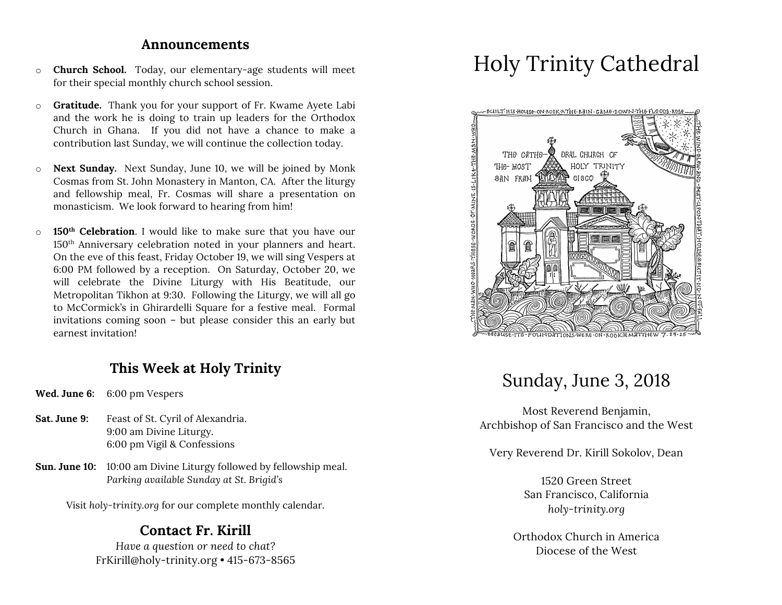#### **Announcements**

- o **Church School.** Today, our elementary-age students will meet for their special monthly church school session.
- o **Gratitude.** Thank you for your support of Fr. Kwame Ayete Labi and the work he is doing to train up leaders for the Orthodox Church in Ghana. If you did not have a chance to make a contribution last Sunday, we will continue the collection today.
- o **Next Sunday.** Next Sunday, June 10, we will be joined by Monk Cosmas from St. John Monastery in Manton, CA. After the liturgy and fellowship meal, Fr. Cosmas will share a presentation on monasticism. We look forward to hearing from him!
- o **150th Celebration**. I would like to make sure that you have our 150th Anniversary celebration noted in your planners and heart. On the eve of this feast, Friday October 19, we will sing Vespers at 6:00 PM followed by a reception. On Saturday, October 20, we will celebrate the Divine Liturgy with His Beatitude, our Metropolitan Tikhon at 9:30. Following the Liturgy, we will all go to McCormick's in Ghirardelli Square for a festive meal. Formal invitations coming soon – but please consider this an early but earnest invitation!

## **This Week at Holy Trinity**

- **Wed. June 6:** 6:00 pm Vespers
- Sat. June 9: Feast of St. Cyril of Alexandria. 9:00 am Divine Liturgy. 6:00 pm Vigil & Confessions
- **Sun. June 10:** 10:00 am Divine Liturgy followed by fellowship meal. *Parking available Sunday at St. Brigid's*

Visit *holy-trinity.org* for our complete monthly calendar.

### **Contact Fr. Kirill**

*Have a question or need to chat?* FrKirill@holy-trinity.org • 415-673-8565

# Holy Trinity Cathedral



## Sunday, June 3, 2018

Most Reverend Benjamin, Archbishop of San Francisco and the West

Very Reverend Dr. Kirill Sokolov, Dean

1520 Green Street San Francisco, California *holy-trinity.org*

Orthodox Church in America Diocese of the West